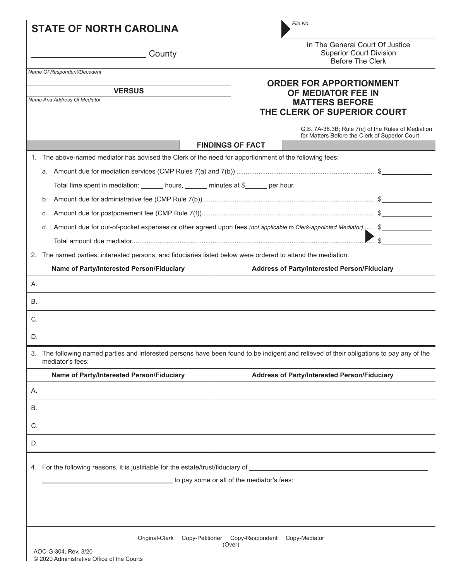| <b>STATE OF NORTH CAROLINA</b>                                                                                                                               | File No.                                                                                                            |  |  |  |  |  |
|--------------------------------------------------------------------------------------------------------------------------------------------------------------|---------------------------------------------------------------------------------------------------------------------|--|--|--|--|--|
| County                                                                                                                                                       | In The General Court Of Justice<br><b>Superior Court Division</b><br><b>Before The Clerk</b>                        |  |  |  |  |  |
| Name Of Respondent/Decedent                                                                                                                                  |                                                                                                                     |  |  |  |  |  |
| <b>VERSUS</b><br>Name And Address Of Mediator                                                                                                                | <b>ORDER FOR APPORTIONMENT</b><br>OF MEDIATOR FEE IN<br><b>MATTERS BEFORE</b><br>THE CLERK OF SUPERIOR COURT        |  |  |  |  |  |
|                                                                                                                                                              | G.S. 7A-38.3B, Rule 7(c) of the Rules of Mediation<br>for Matters Before the Clerk of Superior Court                |  |  |  |  |  |
|                                                                                                                                                              | <b>FINDINGS OF FACT</b>                                                                                             |  |  |  |  |  |
| 1. The above-named mediator has advised the Clerk of the need for apportionment of the following fees:                                                       |                                                                                                                     |  |  |  |  |  |
|                                                                                                                                                              |                                                                                                                     |  |  |  |  |  |
| Total time spent in mediation: _______ hours, ______ minutes at \$______ per hour.                                                                           |                                                                                                                     |  |  |  |  |  |
| b.                                                                                                                                                           |                                                                                                                     |  |  |  |  |  |
| C.                                                                                                                                                           |                                                                                                                     |  |  |  |  |  |
|                                                                                                                                                              | d. Amount due for out-of-pocket expenses or other agreed upon fees (not applicable to Clerk-appointed Mediator)  \$ |  |  |  |  |  |
|                                                                                                                                                              | $\mathbb{S}$                                                                                                        |  |  |  |  |  |
| 2. The named parties, interested persons, and fiduciaries listed below were ordered to attend the mediation.                                                 |                                                                                                                     |  |  |  |  |  |
| Name of Party/Interested Person/Fiduciary                                                                                                                    | <b>Address of Party/Interested Person/Fiduciary</b>                                                                 |  |  |  |  |  |
| Α.                                                                                                                                                           |                                                                                                                     |  |  |  |  |  |
| В.                                                                                                                                                           |                                                                                                                     |  |  |  |  |  |
| C.                                                                                                                                                           |                                                                                                                     |  |  |  |  |  |
| D.                                                                                                                                                           |                                                                                                                     |  |  |  |  |  |
| 3. The following named parties and interested persons have been found to be indigent and relieved of their obligations to pay any of the<br>mediator's fees: |                                                                                                                     |  |  |  |  |  |
| Name of Party/Interested Person/Fiduciary                                                                                                                    | <b>Address of Party/Interested Person/Fiduciary</b>                                                                 |  |  |  |  |  |
| А.                                                                                                                                                           |                                                                                                                     |  |  |  |  |  |
| В.                                                                                                                                                           |                                                                                                                     |  |  |  |  |  |
| C.                                                                                                                                                           |                                                                                                                     |  |  |  |  |  |
| D.                                                                                                                                                           |                                                                                                                     |  |  |  |  |  |
| 4. For the following reasons, it is justifiable for the estate/trust/fiduciary of                                                                            | to pay some or all of the mediator's fees:                                                                          |  |  |  |  |  |
|                                                                                                                                                              |                                                                                                                     |  |  |  |  |  |
| Original-Clerk<br>Copy-Petitioner                                                                                                                            | Copy-Respondent<br>Copy-Mediator<br>(Over)                                                                          |  |  |  |  |  |